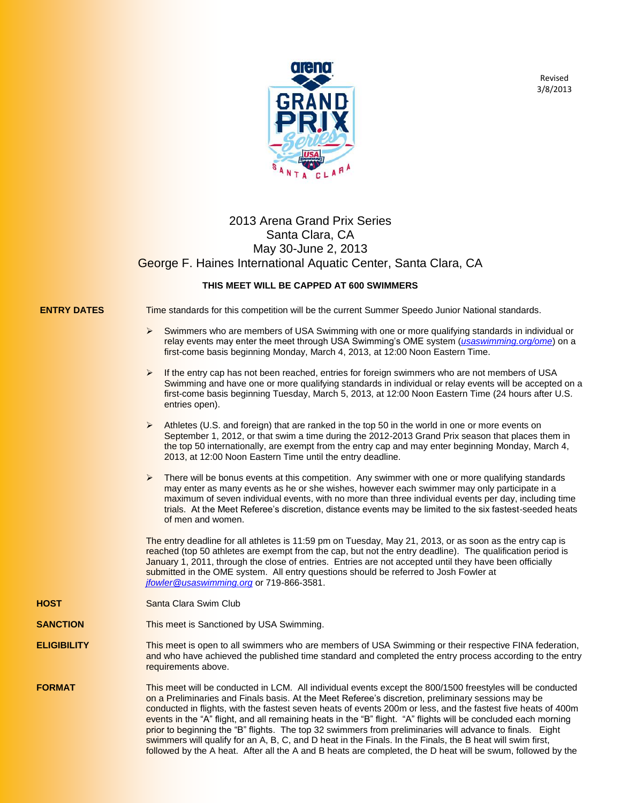

Revised 3/8/2013

## 2013 Arena Grand Prix Series Santa Clara, CA May 30-June 2, 2013 George F. Haines International Aquatic Center, Santa Clara, CA

## **THIS MEET WILL BE CAPPED AT 600 SWIMMERS**

**ENTRY DATES** Time standards for this competition will be the current Summer Speedo Junior National standards.

- Swimmers who are members of USA Swimming with one or more qualifying standards in individual or relay events may enter the meet through USA Swimming's OME system (*usaswimming.org/ome*) on a first-come basis beginning Monday, March 4, 2013, at 12:00 Noon Eastern Time.
- $\blacktriangleright$  If the entry cap has not been reached, entries for foreign swimmers who are not members of USA Swimming and have one or more qualifying standards in individual or relay events will be accepted on a first-come basis beginning Tuesday, March 5, 2013, at 12:00 Noon Eastern Time (24 hours after U.S. entries open).
- Athletes (U.S. and foreign) that are ranked in the top 50 in the world in one or more events on September 1, 2012, or that swim a time during the 2012-2013 Grand Prix season that places them in the top 50 internationally, are exempt from the entry cap and may enter beginning Monday, March 4, 2013, at 12:00 Noon Eastern Time until the entry deadline.
- $\blacktriangleright$  There will be bonus events at this competition. Any swimmer with one or more qualifying standards may enter as many events as he or she wishes, however each swimmer may only participate in a maximum of seven individual events, with no more than three individual events per day, including time trials. At the Meet Referee's discretion, distance events may be limited to the six fastest-seeded heats of men and women.

The entry deadline for all athletes is 11:59 pm on Tuesday, May 21, 2013, or as soon as the entry cap is reached (top 50 athletes are exempt from the cap, but not the entry deadline). The qualification period is January 1, 2011, through the close of entries. Entries are not accepted until they have been officially submitted in the OME system. All entry questions should be referred to Josh Fowler at *[jfowler@usaswimming.org](mailto:jfowler@usaswimming.org)* or 719-866-3581.

**HOST** Santa Clara Swim Club

**SANCTION** This meet is Sanctioned by USA Swimming.

- **ELIGIBILITY** This meet is open to all swimmers who are members of USA Swimming or their respective FINA federation, and who have achieved the published time standard and completed the entry process according to the entry requirements above.
- **FORMAT** This meet will be conducted in LCM. All individual events except the 800/1500 freestyles will be conducted on a Preliminaries and Finals basis. At the Meet Referee's discretion, preliminary sessions may be conducted in flights, with the fastest seven heats of events 200m or less, and the fastest five heats of 400m events in the "A" flight, and all remaining heats in the "B" flight. "A" flights will be concluded each morning prior to beginning the "B" flights. The top 32 swimmers from preliminaries will advance to finals. Eight swimmers will qualify for an A, B, C, and D heat in the Finals. In the Finals, the B heat will swim first, followed by the A heat. After all the A and B heats are completed, the D heat will be swum, followed by the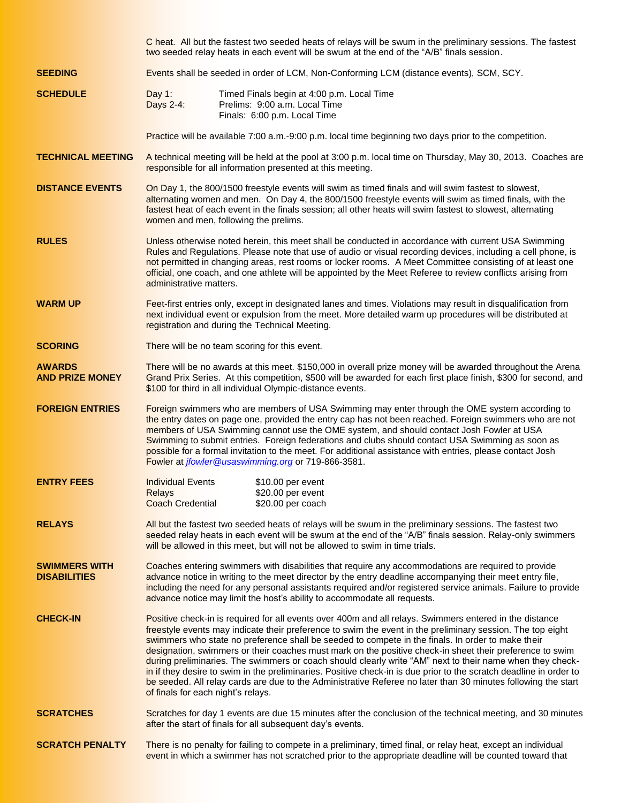|                                             | C heat. All but the fastest two seeded heats of relays will be swum in the preliminary sessions. The fastest<br>two seeded relay heats in each event will be swum at the end of the "A/B" finals session.                                                                                                                                                                                                                                                                                                                                                                                                                                                                                                                                                                                                                        |  |  |  |  |
|---------------------------------------------|----------------------------------------------------------------------------------------------------------------------------------------------------------------------------------------------------------------------------------------------------------------------------------------------------------------------------------------------------------------------------------------------------------------------------------------------------------------------------------------------------------------------------------------------------------------------------------------------------------------------------------------------------------------------------------------------------------------------------------------------------------------------------------------------------------------------------------|--|--|--|--|
| <b>SEEDING</b>                              | Events shall be seeded in order of LCM, Non-Conforming LCM (distance events), SCM, SCY.                                                                                                                                                                                                                                                                                                                                                                                                                                                                                                                                                                                                                                                                                                                                          |  |  |  |  |
| <b>SCHEDULE</b>                             | Day 1:<br>Timed Finals begin at 4:00 p.m. Local Time<br>Days 2-4:<br>Prelims: 9:00 a.m. Local Time<br>Finals: 6:00 p.m. Local Time                                                                                                                                                                                                                                                                                                                                                                                                                                                                                                                                                                                                                                                                                               |  |  |  |  |
|                                             | Practice will be available 7:00 a.m.-9:00 p.m. local time beginning two days prior to the competition.                                                                                                                                                                                                                                                                                                                                                                                                                                                                                                                                                                                                                                                                                                                           |  |  |  |  |
| <b>TECHNICAL MEETING</b>                    | A technical meeting will be held at the pool at 3:00 p.m. local time on Thursday, May 30, 2013. Coaches are<br>responsible for all information presented at this meeting.                                                                                                                                                                                                                                                                                                                                                                                                                                                                                                                                                                                                                                                        |  |  |  |  |
| <b>DISTANCE EVENTS</b>                      | On Day 1, the 800/1500 freestyle events will swim as timed finals and will swim fastest to slowest,<br>alternating women and men. On Day 4, the 800/1500 freestyle events will swim as timed finals, with the<br>fastest heat of each event in the finals session; all other heats will swim fastest to slowest, alternating<br>women and men, following the prelims.                                                                                                                                                                                                                                                                                                                                                                                                                                                            |  |  |  |  |
| <b>RULES</b>                                | Unless otherwise noted herein, this meet shall be conducted in accordance with current USA Swimming<br>Rules and Regulations. Please note that use of audio or visual recording devices, including a cell phone, is<br>not permitted in changing areas, rest rooms or locker rooms. A Meet Committee consisting of at least one<br>official, one coach, and one athlete will be appointed by the Meet Referee to review conflicts arising from<br>administrative matters.                                                                                                                                                                                                                                                                                                                                                        |  |  |  |  |
| <b>WARM UP</b>                              | Feet-first entries only, except in designated lanes and times. Violations may result in disqualification from<br>next individual event or expulsion from the meet. More detailed warm up procedures will be distributed at<br>registration and during the Technical Meeting.                                                                                                                                                                                                                                                                                                                                                                                                                                                                                                                                                     |  |  |  |  |
| <b>SCORING</b>                              | There will be no team scoring for this event.                                                                                                                                                                                                                                                                                                                                                                                                                                                                                                                                                                                                                                                                                                                                                                                    |  |  |  |  |
| <b>AWARDS</b><br><b>AND PRIZE MONEY</b>     | There will be no awards at this meet. \$150,000 in overall prize money will be awarded throughout the Arena<br>Grand Prix Series. At this competition, \$500 will be awarded for each first place finish, \$300 for second, and<br>\$100 for third in all individual Olympic-distance events.                                                                                                                                                                                                                                                                                                                                                                                                                                                                                                                                    |  |  |  |  |
| <b>FOREIGN ENTRIES</b>                      | Foreign swimmers who are members of USA Swimming may enter through the OME system according to<br>the entry dates on page one, provided the entry cap has not been reached. Foreign swimmers who are not<br>members of USA Swimming cannot use the OME system, and should contact Josh Fowler at USA<br>Swimming to submit entries. Foreign federations and clubs should contact USA Swimming as soon as<br>possible for a formal invitation to the meet. For additional assistance with entries, please contact Josh<br>Fowler at <i>jfowler@usaswimming.org</i> or 719-866-3581.                                                                                                                                                                                                                                               |  |  |  |  |
| <b>ENTRY FEES</b>                           | <b>Individual Events</b><br>\$10.00 per event<br>\$20.00 per event<br>Relays<br><b>Coach Credential</b><br>\$20.00 per coach                                                                                                                                                                                                                                                                                                                                                                                                                                                                                                                                                                                                                                                                                                     |  |  |  |  |
| <b>RELAYS</b>                               | All but the fastest two seeded heats of relays will be swum in the preliminary sessions. The fastest two<br>seeded relay heats in each event will be swum at the end of the "A/B" finals session. Relay-only swimmers<br>will be allowed in this meet, but will not be allowed to swim in time trials.                                                                                                                                                                                                                                                                                                                                                                                                                                                                                                                           |  |  |  |  |
| <b>SWIMMERS WITH</b><br><b>DISABILITIES</b> | Coaches entering swimmers with disabilities that require any accommodations are required to provide<br>advance notice in writing to the meet director by the entry deadline accompanying their meet entry file,<br>including the need for any personal assistants required and/or registered service animals. Failure to provide<br>advance notice may limit the host's ability to accommodate all requests.                                                                                                                                                                                                                                                                                                                                                                                                                     |  |  |  |  |
| <b>CHECK-IN</b>                             | Positive check-in is required for all events over 400m and all relays. Swimmers entered in the distance<br>freestyle events may indicate their preference to swim the event in the preliminary session. The top eight<br>swimmers who state no preference shall be seeded to compete in the finals. In order to make their<br>designation, swimmers or their coaches must mark on the positive check-in sheet their preference to swim<br>during preliminaries. The swimmers or coach should clearly write "AM" next to their name when they check-<br>in if they desire to swim in the preliminaries. Positive check-in is due prior to the scratch deadline in order to<br>be seeded. All relay cards are due to the Administrative Referee no later than 30 minutes following the start<br>of finals for each night's relays. |  |  |  |  |
| <b>SCRATCHES</b>                            | Scratches for day 1 events are due 15 minutes after the conclusion of the technical meeting, and 30 minutes<br>after the start of finals for all subsequent day's events.                                                                                                                                                                                                                                                                                                                                                                                                                                                                                                                                                                                                                                                        |  |  |  |  |
| <b>SCRATCH PENALTY</b>                      | There is no penalty for failing to compete in a preliminary, timed final, or relay heat, except an individual<br>event in which a swimmer has not scratched prior to the appropriate deadline will be counted toward that                                                                                                                                                                                                                                                                                                                                                                                                                                                                                                                                                                                                        |  |  |  |  |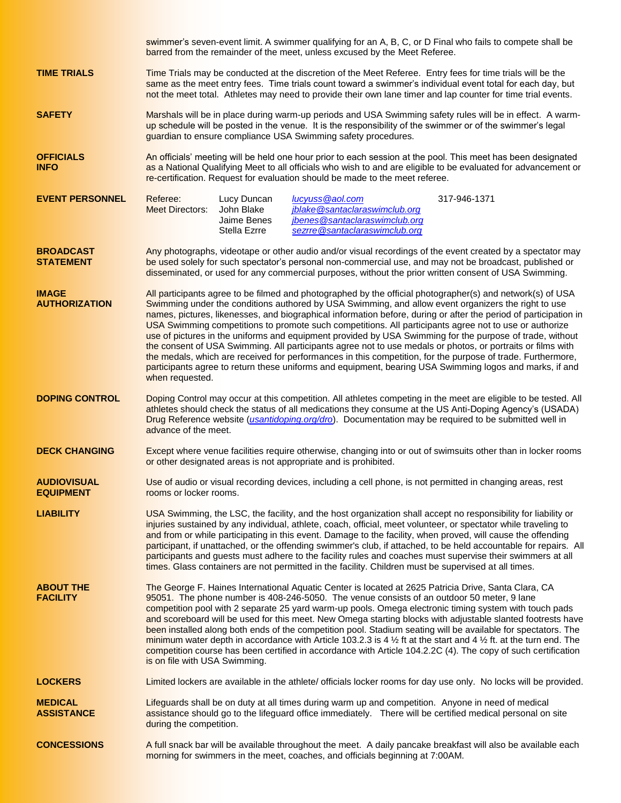swimmer's seven-event limit. A swimmer qualifying for an A, B, C, or D Final who fails to compete shall be barred from the remainder of the meet, unless excused by the Meet Referee. **TIME TRIALS** Time Trials may be conducted at the discretion of the Meet Referee. Entry fees for time trials will be the same as the meet entry fees. Time trials count toward a swimmer's individual event total for each day, but not the meet total. Athletes may need to provide their own lane timer and lap counter for time trial events. **SAFETY** Marshals will be in place during warm-up periods and USA Swimming safety rules will be in effect. A warmup schedule will be posted in the venue. It is the responsibility of the swimmer or of the swimmer's legal guardian to ensure compliance USA Swimming safety procedures. **OFFICIALS** An officials' meeting will be held one hour prior to each session at the pool. This meet has been designated **INFO** as a National Qualifying Meet to all officials who wish to and are eligible to be evaluated for advancement or re-certification. Request for evaluation should be made to the meet referee. **EVENT PERSONNEL** Referee: Lucy Duncan *lucyuss@aol.com* 317-946-1371 Meet Directors: John Blake *[jblake@santaclaraswimclub.org](mailto:jblake@santaclaraswimclub.org)* Jaime Benes *[jbenes@santaclaraswimclub.org](mailto:jbenes@santaclaraswimclub.org)* Stella Ezrre *[sezrre@santaclaraswimclub.org](mailto:sezrre@santaclaraswimclub.org)* **BROADCAST** Any photographs, videotape or other audio and/or visual recordings of the event created by a spectator may **STATEMENT** be used solely for such spectator's personal non-commercial use, and may not be broadcast, published or disseminated, or used for any commercial purposes, without the prior written consent of USA Swimming. **IMAGE** All participants agree to be filmed and photographed by the official photographer(s) and network(s) of USA **AUTHORIZATION** Swimming under the conditions authored by USA Swimming, and allow event organizers the right to use names, pictures, likenesses, and biographical information before, during or after the period of participation in USA Swimming competitions to promote such competitions. All participants agree not to use or authorize use of pictures in the uniforms and equipment provided by USA Swimming for the purpose of trade, without the consent of USA Swimming. All participants agree not to use medals or photos, or portraits or films with the medals, which are received for performances in this competition, for the purpose of trade. Furthermore, participants agree to return these uniforms and equipment, bearing USA Swimming logos and marks, if and when requested. **DOPING CONTROL** Doping Control may occur at this competition. All athletes competing in the meet are eligible to be tested. All athletes should check the status of all medications they consume at the US Anti-Doping Agency's (USADA) Drug Reference website (*usantidoping.org/dro*). Documentation may be required to be submitted well in advance of the meet. **DECK CHANGING** Except where venue facilities require otherwise, changing into or out of swimsuits other than in locker rooms or other designated areas is not appropriate and is prohibited. **AUDIOVISUAL** Use of audio or visual recording devices, including a cell phone, is not permitted in changing areas, rest **EQUIPMENT** rooms or locker rooms. **LIABILITY** USA Swimming, the LSC, the facility, and the host organization shall accept no responsibility for liability or injuries sustained by any individual, athlete, coach, official, meet volunteer, or spectator while traveling to and from or while participating in this event. Damage to the facility, when proved, will cause the offending participant, if unattached, or the offending swimmer's club, if attached, to be held accountable for repairs. All participants and guests must adhere to the facility rules and coaches must supervise their swimmers at all times. Glass containers are not permitted in the facility. Children must be supervised at all times. **ABOUT THE** The George F. Haines International Aquatic Center is located at 2625 Patricia Drive, Santa Clara, CA **FACILITY** 95051. The phone number is 408-246-5050. The venue consists of an outdoor 50 meter, 9 lane competition pool with 2 separate 25 yard warm-up pools. Omega electronic timing system with touch pads and scoreboard will be used for this meet. New Omega starting blocks with adjustable slanted footrests have been installed along both ends of the competition pool. Stadium seating will be available for spectators. The minimum water depth in accordance with Article 103.2.3 is 4  $\frac{1}{2}$  ft at the start and 4  $\frac{1}{2}$  ft. at the turn end. The competition course has been certified in accordance with Article 104.2.2C (4). The copy of such certification is on file with USA Swimming. LOCKERS Limited lockers are available in the athlete/ officials locker rooms for day use only. No locks will be provided. **MEDICAL** Lifeguards shall be on duty at all times during warm up and competition. Anyone in need of medical<br>**ASSISTANCE** assistance should go to the lifeguard office immediately. There will be certified medical personal o assistance should go to the lifeguard office immediately. There will be certified medical personal on site during the competition. **CONCESSIONS** A full snack bar will be available throughout the meet. A daily pancake breakfast will also be available each morning for swimmers in the meet, coaches, and officials beginning at 7:00AM.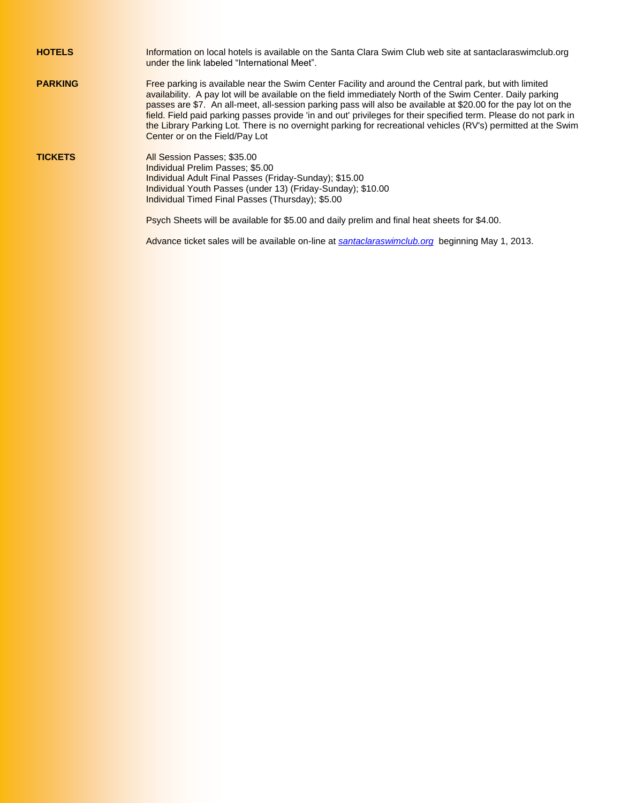| <b>HOTELS</b>  | Information on local hotels is available on the Santa Clara Swim Club web site at santaclaraswimclub.org<br>under the link labeled "International Meet".                                                                                                                                                                                                                                                                                                                                                                                                                                                     |
|----------------|--------------------------------------------------------------------------------------------------------------------------------------------------------------------------------------------------------------------------------------------------------------------------------------------------------------------------------------------------------------------------------------------------------------------------------------------------------------------------------------------------------------------------------------------------------------------------------------------------------------|
| <b>PARKING</b> | Free parking is available near the Swim Center Facility and around the Central park, but with limited<br>availability. A pay lot will be available on the field immediately North of the Swim Center. Daily parking<br>passes are \$7. An all-meet, all-session parking pass will also be available at \$20.00 for the pay lot on the<br>field. Field paid parking passes provide 'in and out' privileges for their specified term. Please do not park in<br>the Library Parking Lot. There is no overnight parking for recreational vehicles (RV's) permitted at the Swim<br>Center or on the Field/Pay Lot |
| <b>TICKETS</b> | All Session Passes: \$35.00<br><b>Individual Prelim Passes: \$5.00</b><br><b>Individual Adult Final Passes (Friday-Sunday); \$15.00</b><br>Individual Youth Passes (under 13) (Friday-Sunday); \$10.00<br><b>Individual Timed Final Passes (Thursday): \$5.00</b>                                                                                                                                                                                                                                                                                                                                            |
|                | Psych Sheets will be available for \$5.00 and daily prelim and final heat sheets for \$4.00.                                                                                                                                                                                                                                                                                                                                                                                                                                                                                                                 |
|                | Advance ticket sales will be available on-line at santaclaraswimclub.org beginning May 1, 2013.                                                                                                                                                                                                                                                                                                                                                                                                                                                                                                              |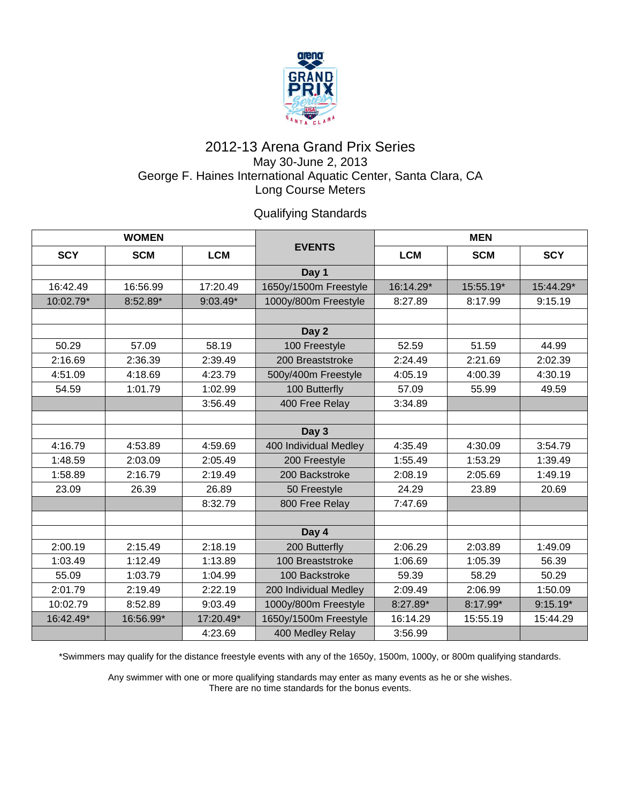

## 2012-13 Arena Grand Prix Series May 30-June 2, 2013 George F. Haines International Aquatic Center, Santa Clara, CA Long Course Meters

Qualifying Standards

| <b>WOMEN</b> |            |            |                       | <b>MEN</b> |            |            |
|--------------|------------|------------|-----------------------|------------|------------|------------|
| <b>SCY</b>   | <b>SCM</b> | <b>LCM</b> | <b>EVENTS</b>         | LCM        | <b>SCM</b> | <b>SCY</b> |
|              |            |            | Day 1                 |            |            |            |
| 16:42.49     | 16:56.99   | 17:20.49   | 1650y/1500m Freestyle | 16:14.29*  | 15:55.19*  | 15:44.29*  |
| 10:02.79*    | 8:52.89*   | $9:03.49*$ | 1000y/800m Freestyle  | 8:27.89    | 8:17.99    | 9:15.19    |
|              |            |            |                       |            |            |            |
|              |            |            | Day 2                 |            |            |            |
| 50.29        | 57.09      | 58.19      | 100 Freestyle         | 52.59      | 51.59      | 44.99      |
| 2:16.69      | 2:36.39    | 2:39.49    | 200 Breaststroke      | 2:24.49    | 2:21.69    | 2:02.39    |
| 4:51.09      | 4:18.69    | 4:23.79    | 500y/400m Freestyle   | 4:05.19    | 4:00.39    | 4:30.19    |
| 54.59        | 1:01.79    | 1:02.99    | 100 Butterfly         | 57.09      | 55.99      | 49.59      |
|              |            | 3:56.49    | 400 Free Relay        | 3:34.89    |            |            |
|              |            |            |                       |            |            |            |
|              |            |            | Day 3                 |            |            |            |
| 4:16.79      | 4:53.89    | 4:59.69    | 400 Individual Medley | 4:35.49    | 4:30.09    | 3:54.79    |
| 1:48.59      | 2:03.09    | 2:05.49    | 200 Freestyle         | 1:55.49    | 1:53.29    | 1:39.49    |
| 1:58.89      | 2:16.79    | 2:19.49    | 200 Backstroke        | 2:08.19    | 2:05.69    | 1:49.19    |
| 23.09        | 26.39      | 26.89      | 50 Freestyle          | 24.29      | 23.89      | 20.69      |
|              |            | 8:32.79    | 800 Free Relay        | 7:47.69    |            |            |
|              |            |            |                       |            |            |            |
|              |            |            | Day 4                 |            |            |            |
| 2:00.19      | 2:15.49    | 2:18.19    | 200 Butterfly         | 2:06.29    | 2:03.89    | 1:49.09    |
| 1:03.49      | 1:12.49    | 1:13.89    | 100 Breaststroke      | 1:06.69    | 1:05.39    | 56.39      |
| 55.09        | 1:03.79    | 1:04.99    | 100 Backstroke        | 59.39      | 58.29      | 50.29      |
| 2:01.79      | 2:19.49    | 2:22.19    | 200 Individual Medley | 2:09.49    | 2:06.99    | 1:50.09    |
| 10:02.79     | 8:52.89    | 9:03.49    | 1000y/800m Freestyle  | 8:27.89*   | 8:17.99*   | $9:15.19*$ |
| 16:42.49*    | 16:56.99*  | 17:20.49*  | 1650y/1500m Freestyle | 16:14.29   | 15:55.19   | 15:44.29   |
|              |            | 4:23.69    | 400 Medley Relay      | 3:56.99    |            |            |

\*Swimmers may qualify for the distance freestyle events with any of the 1650y, 1500m, 1000y, or 800m qualifying standards.

Any swimmer with one or more qualifying standards may enter as many events as he or she wishes. There are no time standards for the bonus events.